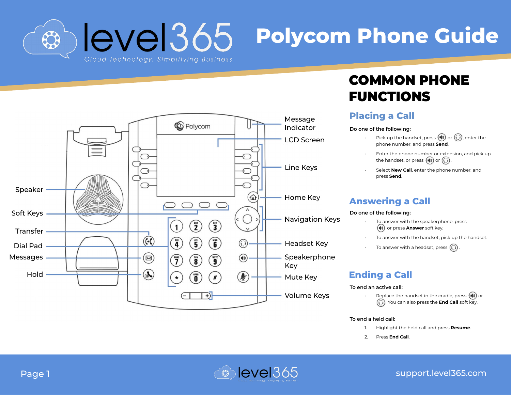level365 **Polycom Phone Guide** 83



# COMMON PHONE FUNCTIONS

### **Placing a Call**

#### **Do one of the following:**

- Pick up the handset, press  $(\lozenge)$  or  $\bigcirc$ , enter the phone number, and press **Send** .
- Enter the phone number or extension, and pick up the handset, or press  $\left(\bigcirc\right)$  or  $\left(\bigcirc\right)$ .
- Select **New Call**, enter the phone number, and press **Send**.

### **Answering a Call**

#### **Do one of the following:**

- To answer with the speakerphone, press **(4)** or press **Answer** soft key.
- To answer with the handset, pick up the handset.
- To answer with a headset, press  $\left(\bigcirc\right)$

### **Ending a Call**

#### **To end an active call:**

Replace the handset in the cradle, press  $(\blacklozenge)$  or . You can also press the **End Call** soft key.

#### **To end a held call:**

- 1. Highlight the held call and press **Resume** .
- 2. Press **End Call**.